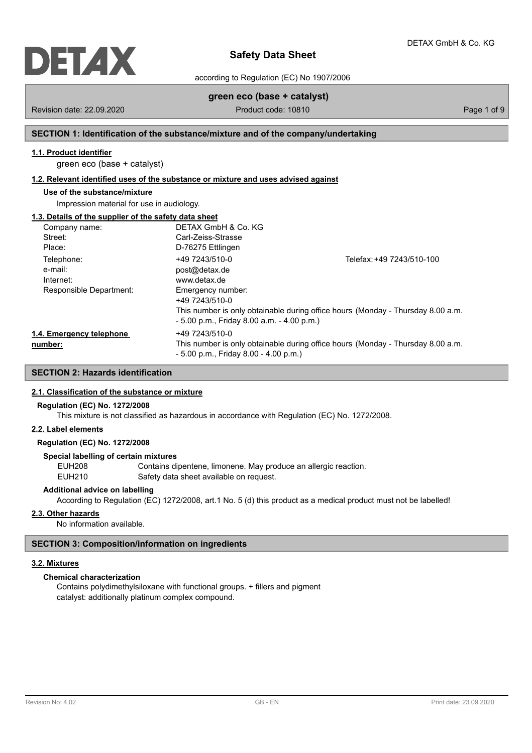

according to Regulation (EC) No 1907/2006

# **green eco (base + catalyst)**

Revision date: 22.09.2020 **Product code: 10810** Product code: 10810

# **SECTION 1: Identification of the substance/mixture and of the company/undertaking**

# **1.1. Product identifier**

green eco (base + catalyst)

## **1.2. Relevant identified uses of the substance or mixture and uses advised against**

# **Use of the substance/mixture**

Impression material for use in audiology.

# **1.3. Details of the supplier of the safety data sheet**

| Company name:            | DETAX GmbH & Co. KG                          |                                                                                 |
|--------------------------|----------------------------------------------|---------------------------------------------------------------------------------|
| Street:                  | Carl-Zeiss-Strasse                           |                                                                                 |
| Place:                   | D-76275 Ettlingen                            |                                                                                 |
| Telephone:               | +49 7243/510-0                               | Telefax: +49 7243/510-100                                                       |
| e-mail:                  | post@detax.de                                |                                                                                 |
| Internet:                | www.detax.de                                 |                                                                                 |
| Responsible Department:  | Emergency number:                            |                                                                                 |
|                          | +49 7243/510-0                               |                                                                                 |
|                          |                                              | This number is only obtainable during office hours (Monday - Thursday 8.00 a.m. |
|                          | $-5.00$ p.m., Friday 8.00 a.m. $-4.00$ p.m.) |                                                                                 |
| 1.4. Emergency telephone | +49 7243/510-0                               |                                                                                 |
| number:                  |                                              | This number is only obtainable during office hours (Monday - Thursday 8.00 a.m. |
|                          | $-5.00$ p.m., Friday 8.00 $-4.00$ p.m.)      |                                                                                 |

## **SECTION 2: Hazards identification**

## **2.1. Classification of the substance or mixture**

## **Regulation (EC) No. 1272/2008**

This mixture is not classified as hazardous in accordance with Regulation (EC) No. 1272/2008.

## **2.2. Label elements**

## **Regulation (EC) No. 1272/2008**

## **Special labelling of certain mixtures**

EUH208 Contains dipentene, limonene. May produce an allergic reaction. EUH210 Safety data sheet available on request.

## **Additional advice on labelling**

According to Regulation (EC) 1272/2008, art.1 No. 5 (d) this product as a medical product must not be labelled!

#### **2.3. Other hazards**

No information available.

## **SECTION 3: Composition/information on ingredients**

## **3.2. Mixtures**

# **Chemical characterization**

Contains polydimethylsiloxane with functional groups. + fillers and pigment catalyst: additionally platinum complex compound.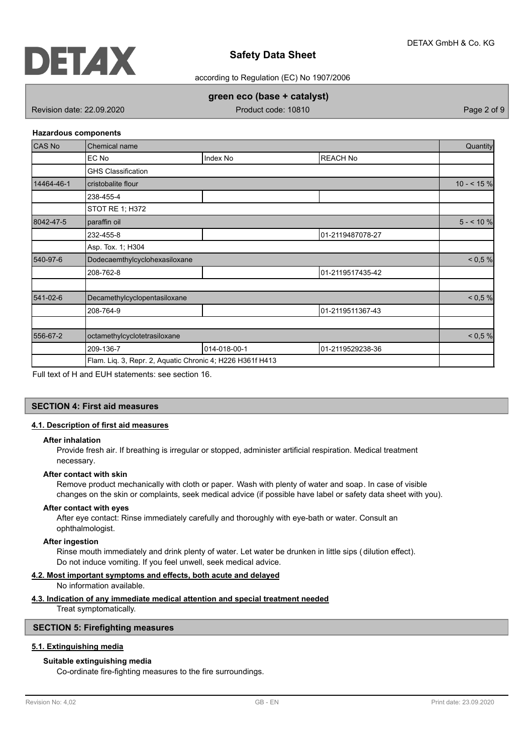

according to Regulation (EC) No 1907/2006

## **green eco (base + catalyst)**

Revision date: 22.09.2020 **Product code: 10810** Product code: 10810

#### **Hazardous components**

| <b>CAS No</b> | Chemical name                                             |              |                  |              |  |
|---------------|-----------------------------------------------------------|--------------|------------------|--------------|--|
|               | EC No                                                     | Index No     | <b>REACH No</b>  |              |  |
|               | <b>GHS Classification</b>                                 |              |                  |              |  |
| 14464-46-1    | cristobalite flour                                        |              |                  | $10 - 545 %$ |  |
|               | 238-455-4                                                 |              |                  |              |  |
|               | STOT RE 1; H372                                           |              |                  |              |  |
| 8042-47-5     | paraffin oil                                              |              |                  | $5 - 10%$    |  |
|               | 232-455-8                                                 |              | 01-2119487078-27 |              |  |
|               | Asp. Tox. 1; H304                                         |              |                  |              |  |
| 540-97-6      | Dodecaemthylcyclohexasiloxane                             |              |                  | < 0.5 %      |  |
|               | 208-762-8                                                 |              | 01-2119517435-42 |              |  |
| 541-02-6      | Decamethylcyclopentasiloxane                              |              |                  | < 0.5 %      |  |
|               | 208-764-9                                                 |              | 01-2119511367-43 |              |  |
| 556-67-2      | octamethylcyclotetrasiloxane                              |              |                  | < 0.5 %      |  |
|               | 209-136-7                                                 | 014-018-00-1 | 01-2119529238-36 |              |  |
|               | Flam. Liq. 3, Repr. 2, Aquatic Chronic 4; H226 H361f H413 |              |                  |              |  |

Full text of H and EUH statements: see section 16.

## **SECTION 4: First aid measures**

## **4.1. Description of first aid measures**

#### **After inhalation**

Provide fresh air. If breathing is irregular or stopped, administer artificial respiration. Medical treatment necessary.

#### **After contact with skin**

Remove product mechanically with cloth or paper. Wash with plenty of water and soap. In case of visible changes on the skin or complaints, seek medical advice (if possible have label or safety data sheet with you).

#### **After contact with eyes**

After eye contact: Rinse immediately carefully and thoroughly with eye-bath or water. Consult an ophthalmologist.

#### **After ingestion**

Rinse mouth immediately and drink plenty of water. Let water be drunken in little sips ( dilution effect). Do not induce vomiting. If you feel unwell, seek medical advice.

## **4.2. Most important symptoms and effects, both acute and delayed**

No information available.

## **4.3. Indication of any immediate medical attention and special treatment needed**

Treat symptomatically.

## **SECTION 5: Firefighting measures**

# **5.1. Extinguishing media**

## **Suitable extinguishing media**

Co-ordinate fire-fighting measures to the fire surroundings.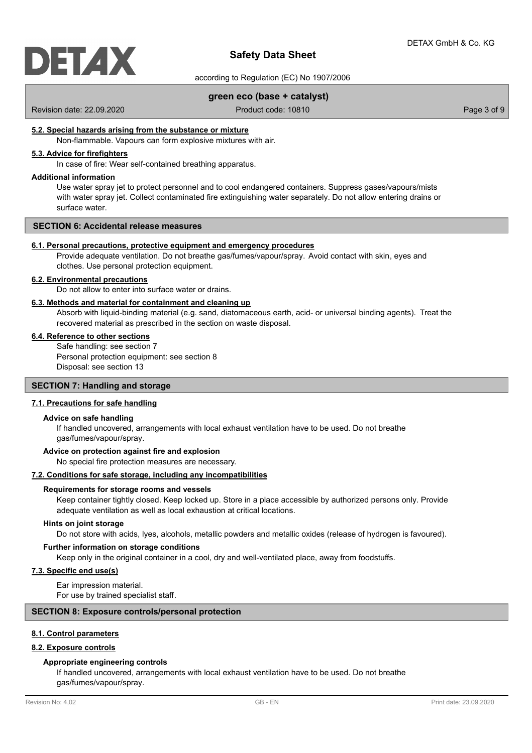

according to Regulation (EC) No 1907/2006

## **green eco (base + catalyst)**

Revision date: 22.09.2020 **Product code: 10810** Product code: 10810

## **5.2. Special hazards arising from the substance or mixture**

Non-flammable. Vapours can form explosive mixtures with air.

# **5.3. Advice for firefighters**

In case of fire: Wear self-contained breathing apparatus.

## **Additional information**

Use water spray jet to protect personnel and to cool endangered containers. Suppress gases/vapours/mists with water spray jet. Collect contaminated fire extinguishing water separately. Do not allow entering drains or surface water.

#### **SECTION 6: Accidental release measures**

## **6.1. Personal precautions, protective equipment and emergency procedures**

Provide adequate ventilation. Do not breathe gas/fumes/vapour/spray. Avoid contact with skin, eyes and clothes. Use personal protection equipment.

#### **6.2. Environmental precautions**

Do not allow to enter into surface water or drains.

#### **6.3. Methods and material for containment and cleaning up**

Absorb with liquid-binding material (e.g. sand, diatomaceous earth, acid- or universal binding agents). Treat the recovered material as prescribed in the section on waste disposal.

#### **6.4. Reference to other sections**

Safe handling: see section 7 Personal protection equipment: see section 8 Disposal: see section 13

## **SECTION 7: Handling and storage**

#### **7.1. Precautions for safe handling**

#### **Advice on safe handling**

If handled uncovered, arrangements with local exhaust ventilation have to be used. Do not breathe gas/fumes/vapour/spray.

#### **Advice on protection against fire and explosion**

No special fire protection measures are necessary.

## **7.2. Conditions for safe storage, including any incompatibilities**

#### **Requirements for storage rooms and vessels**

Keep container tightly closed. Keep locked up. Store in a place accessible by authorized persons only. Provide adequate ventilation as well as local exhaustion at critical locations.

#### **Hints on joint storage**

Do not store with acids, lyes, alcohols, metallic powders and metallic oxides (release of hydrogen is favoured).

#### **Further information on storage conditions**

Keep only in the original container in a cool, dry and well-ventilated place, away from foodstuffs.

## **7.3. Specific end use(s)**

Ear impression material. For use by trained specialist staff.

## **SECTION 8: Exposure controls/personal protection**

## **8.1. Control parameters**

## **8.2. Exposure controls**

#### **Appropriate engineering controls**

If handled uncovered, arrangements with local exhaust ventilation have to be used. Do not breathe gas/fumes/vapour/spray.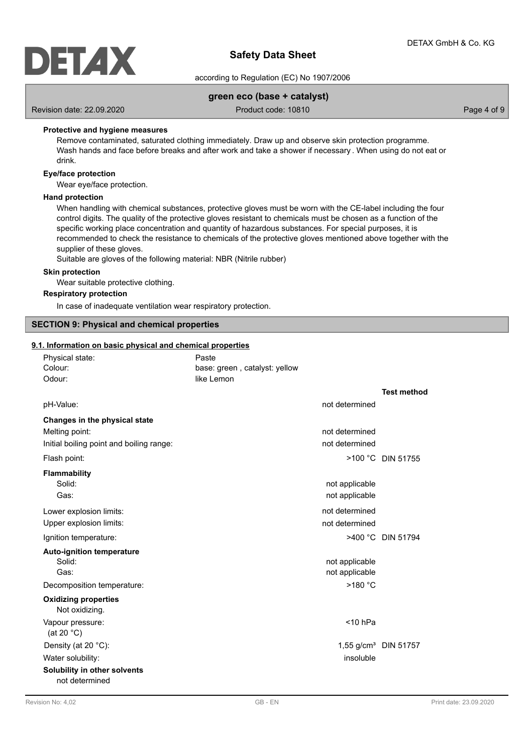

## according to Regulation (EC) No 1907/2006

## **green eco (base + catalyst)**

Revision date: 22.09.2020 **Product code: 10810** Product code: 10810

## **Protective and hygiene measures**

Remove contaminated, saturated clothing immediately. Draw up and observe skin protection programme. Wash hands and face before breaks and after work and take a shower if necessary . When using do not eat or drink.

## **Eye/face protection**

Wear eye/face protection.

#### **Hand protection**

When handling with chemical substances, protective gloves must be worn with the CE-label including the four control digits. The quality of the protective gloves resistant to chemicals must be chosen as a function of the specific working place concentration and quantity of hazardous substances. For special purposes, it is recommended to check the resistance to chemicals of the protective gloves mentioned above together with the supplier of these gloves.

Suitable are gloves of the following material: NBR (Nitrile rubber)

## **Skin protection**

Wear suitable protective clothing.

## **Respiratory protection**

In case of inadequate ventilation wear respiratory protection.

## **SECTION 9: Physical and chemical properties**

## **9.1. Information on basic physical and chemical properties**

| Physical state:                                | Paste                         |                                  |
|------------------------------------------------|-------------------------------|----------------------------------|
| Colour:                                        | base: green, catalyst: yellow |                                  |
| Odour:                                         | like Lemon                    |                                  |
|                                                |                               | <b>Test method</b>               |
| pH-Value:                                      | not determined                |                                  |
| Changes in the physical state                  |                               |                                  |
| Melting point:                                 | not determined                |                                  |
| Initial boiling point and boiling range:       | not determined                |                                  |
| Flash point:                                   |                               | >100 °C DIN 51755                |
| Flammability                                   |                               |                                  |
| Solid:                                         | not applicable                |                                  |
| Gas:                                           | not applicable                |                                  |
| Lower explosion limits:                        | not determined                |                                  |
| Upper explosion limits:                        | not determined                |                                  |
| Ignition temperature:                          |                               | >400 °C DIN 51794                |
| <b>Auto-ignition temperature</b>               |                               |                                  |
| Solid:                                         | not applicable                |                                  |
| Gas:                                           | not applicable                |                                  |
| Decomposition temperature:                     | >180 °C                       |                                  |
| <b>Oxidizing properties</b><br>Not oxidizing.  |                               |                                  |
| Vapour pressure:<br>(at 20 $^{\circ}$ C)       | $<$ 10 hPa                    |                                  |
| Density (at 20 °C):                            |                               | 1,55 g/cm <sup>3</sup> DIN 51757 |
| Water solubility:                              | insoluble                     |                                  |
| Solubility in other solvents<br>not determined |                               |                                  |
|                                                |                               |                                  |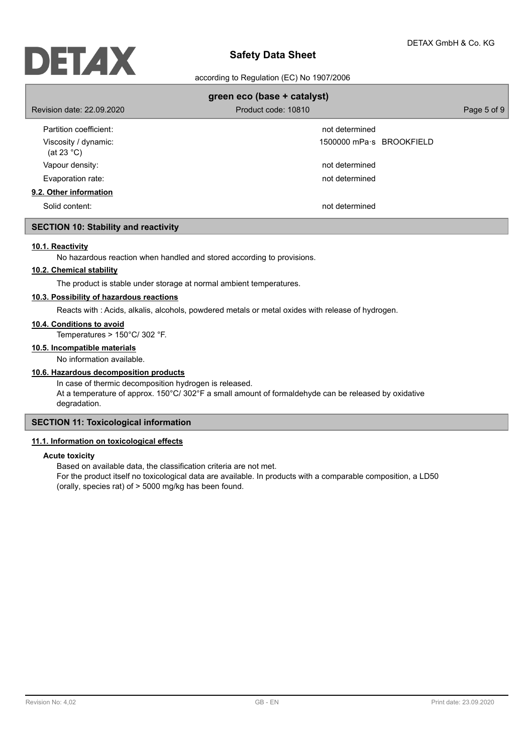

according to Regulation (EC) No 1907/2006

| green eco (base + catalyst)                  |                          |             |  |  |
|----------------------------------------------|--------------------------|-------------|--|--|
| Revision date: 22,09,2020                    | Product code: 10810      | Page 5 of 9 |  |  |
| Partition coefficient:                       | not determined           |             |  |  |
| Viscosity / dynamic:<br>(at 23 $^{\circ}$ C) | 1500000 mPa s BROOKFIELD |             |  |  |
| Vapour density:                              | not determined           |             |  |  |
| Evaporation rate:                            | not determined           |             |  |  |
| 9.2. Other information                       |                          |             |  |  |
| Solid content:                               | not determined           |             |  |  |

## **SECTION 10: Stability and reactivity**

## **10.1. Reactivity**

No hazardous reaction when handled and stored according to provisions.

# **10.2. Chemical stability**

The product is stable under storage at normal ambient temperatures.

## **10.3. Possibility of hazardous reactions**

Reacts with : Acids, alkalis, alcohols, powdered metals or metal oxides with release of hydrogen.

## **10.4. Conditions to avoid**

Temperatures > 150°C/ 302 °F.

# **10.5. Incompatible materials**

No information available.

## **10.6. Hazardous decomposition products**

In case of thermic decomposition hydrogen is released. At a temperature of approx. 150°C/ 302°F a small amount of formaldehyde can be released by oxidative degradation.

## **SECTION 11: Toxicological information**

## **11.1. Information on toxicological effects**

## **Acute toxicity**

Based on available data, the classification criteria are not met.

For the product itself no toxicological data are available. In products with a comparable composition, a LD50 (orally, species rat) of > 5000 mg/kg has been found.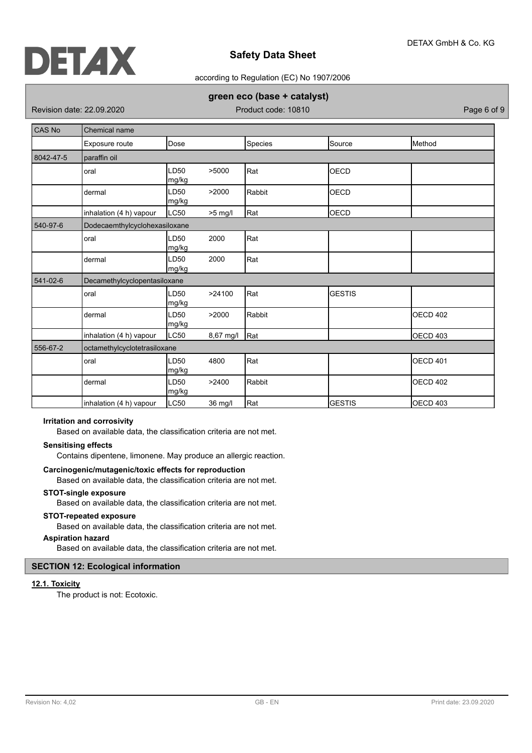

## according to Regulation (EC) No 1907/2006

## **green eco (base + catalyst)**

Revision date: 22.09.2020 **Product code: 10810** Product code: 10810

| CAS No    | <b>Chemical name</b>          |                           |           |         |               |                 |
|-----------|-------------------------------|---------------------------|-----------|---------|---------------|-----------------|
|           | Exposure route                | Dose                      |           | Species | Source        | <b>I</b> Method |
| 8042-47-5 | paraffin oil                  |                           |           |         |               |                 |
|           | oral                          | LD50<br>mg/kg             | >5000     | Rat     | <b>OECD</b>   |                 |
|           | dermal                        | LD <sub>50</sub><br>mg/kg | >2000     | Rabbit  | <b>OECD</b>   |                 |
|           | inhalation (4 h) vapour       | LC50                      | $>5$ mg/l | Rat     | OECD          |                 |
| 540-97-6  | Dodecaemthylcyclohexasiloxane |                           |           |         |               |                 |
|           | oral                          | LD <sub>50</sub><br>mg/kg | 2000      | Rat     |               |                 |
|           | dermal                        | LD50<br>mg/kg             | 2000      | Rat     |               |                 |
| 541-02-6  | Decamethylcyclopentasiloxane  |                           |           |         |               |                 |
|           | oral                          | LD <sub>50</sub><br>mg/kg | >24100    | Rat     | <b>GESTIS</b> |                 |
|           | dermal                        | LD <sub>50</sub><br>mg/kg | >2000     | Rabbit  |               | <b>OECD 402</b> |
|           | inhalation (4 h) vapour       | LC50                      | 8,67 mg/l | Rat     |               | OECD 403        |
| 556-67-2  | octamethylcyclotetrasiloxane  |                           |           |         |               |                 |
|           | oral                          | LD <sub>50</sub><br>mg/kg | 4800      | Rat     |               | <b>OECD 401</b> |
|           | dermal                        | LD50<br>mg/kg             | >2400     | Rabbit  |               | <b>OECD 402</b> |
|           | inhalation (4 h) vapour       | LC50                      | 36 mg/l   | Rat     | <b>GESTIS</b> | OECD 403        |

## **Irritation and corrosivity**

Based on available data, the classification criteria are not met.

## **Sensitising effects**

Contains dipentene, limonene. May produce an allergic reaction.

## **Carcinogenic/mutagenic/toxic effects for reproduction**

Based on available data, the classification criteria are not met.

## **STOT-single exposure**

Based on available data, the classification criteria are not met.

## **STOT-repeated exposure**

Based on available data, the classification criteria are not met.

## **Aspiration hazard**

Based on available data, the classification criteria are not met.

## **SECTION 12: Ecological information**

## **12.1. Toxicity**

The product is not: Ecotoxic.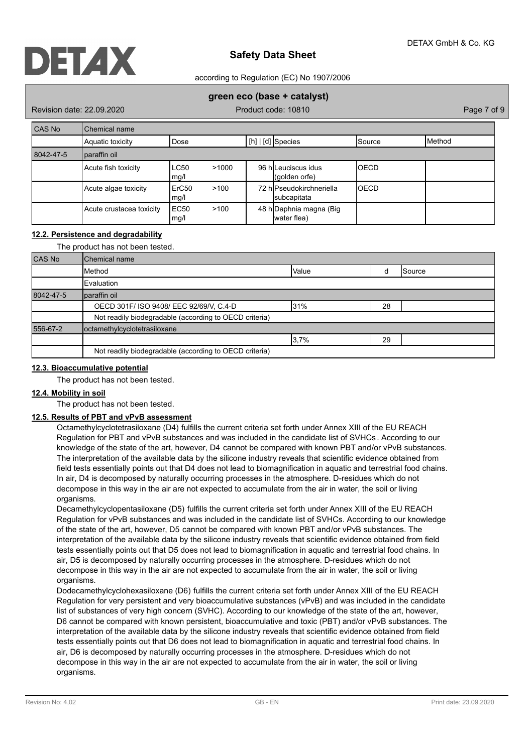

according to Regulation (EC) No 1907/2006

## **green eco (base + catalyst)**

Revision date: 22.09.2020 Product code: 10810 Page 7 of 9

| CAS No    | Chemical name            |                           |       |  |                                         |             |                |
|-----------|--------------------------|---------------------------|-------|--|-----------------------------------------|-------------|----------------|
|           | Aquatic toxicity         | Dose                      |       |  | [h]   [d] Species                       | Source      | <b>IMethod</b> |
| 8042-47-5 | paraffin oil             |                           |       |  |                                         |             |                |
|           | Acute fish toxicity      | <b>LC50</b><br>mg/l       | >1000 |  | 96 hlLeuciscus idus<br>(qolden orfe)    | <b>OECD</b> |                |
|           | Acute algae toxicity     | ErC <sub>50</sub><br>mg/l | >100  |  | 72 hlPseudokirchneriella<br>subcapitata | <b>OECD</b> |                |
|           | Acute crustacea toxicity | EC50<br>mg/l              | >100  |  | 48 h Daphnia magna (Big<br>water flea)  |             |                |

## **12.2. Persistence and degradability**

#### The product has not been tested.

| <b>CAS No</b> | Chemical name                                          |  |  |  |  |  |
|---------------|--------------------------------------------------------|--|--|--|--|--|
|               | Method<br><b>Value</b><br>Source                       |  |  |  |  |  |
|               | Evaluation                                             |  |  |  |  |  |
| 8042-47-5     | paraffin oil                                           |  |  |  |  |  |
|               | OECD 301F/ ISO 9408/ EEC 92/69/V, C.4-D<br>31%<br>28   |  |  |  |  |  |
|               | Not readily biodegradable (according to OECD criteria) |  |  |  |  |  |
| 556-67-2      | octamethylcyclotetrasiloxane                           |  |  |  |  |  |
|               | 3,7%<br>29                                             |  |  |  |  |  |
|               | Not readily biodegradable (according to OECD criteria) |  |  |  |  |  |

#### **12.3. Bioaccumulative potential**

The product has not been tested.

#### **12.4. Mobility in soil**

The product has not been tested.

## **12.5. Results of PBT and vPvB assessment**

Octamethylcyclotetrasiloxane (D4) fulfills the current criteria set forth under Annex XIII of the EU REACH Regulation for PBT and vPvB substances and was included in the candidate list of SVHCs . According to our knowledge of the state of the art, however, D4 cannot be compared with known PBT and/or vPvB substances. The interpretation of the available data by the silicone industry reveals that scientific evidence obtained from field tests essentially points out that D4 does not lead to biomagnification in aquatic and terrestrial food chains. In air, D4 is decomposed by naturally occurring processes in the atmosphere. D-residues which do not decompose in this way in the air are not expected to accumulate from the air in water, the soil or living organisms.

Decamethylcyclopentasiloxane (D5) fulfills the current criteria set forth under Annex XIII of the EU REACH Regulation for vPvB substances and was included in the candidate list of SVHCs. According to our knowledge of the state of the art, however, D5 cannot be compared with known PBT and/or vPvB substances. The interpretation of the available data by the silicone industry reveals that scientific evidence obtained from field tests essentially points out that D5 does not lead to biomagnification in aquatic and terrestrial food chains. In air, D5 is decomposed by naturally occurring processes in the atmosphere. D-residues which do not decompose in this way in the air are not expected to accumulate from the air in water, the soil or living organisms.

Dodecamethylcyclohexasiloxane (D6) fulfills the current criteria set forth under Annex XIII of the EU REACH Regulation for very persistent and very bioaccumulative substances (vPvB) and was included in the candidate list of substances of very high concern (SVHC). According to our knowledge of the state of the art, however, D6 cannot be compared with known persistent, bioaccumulative and toxic (PBT) and/or vPvB substances. The interpretation of the available data by the silicone industry reveals that scientific evidence obtained from field tests essentially points out that D6 does not lead to biomagnification in aquatic and terrestrial food chains. In air, D6 is decomposed by naturally occurring processes in the atmosphere. D-residues which do not decompose in this way in the air are not expected to accumulate from the air in water, the soil or living organisms.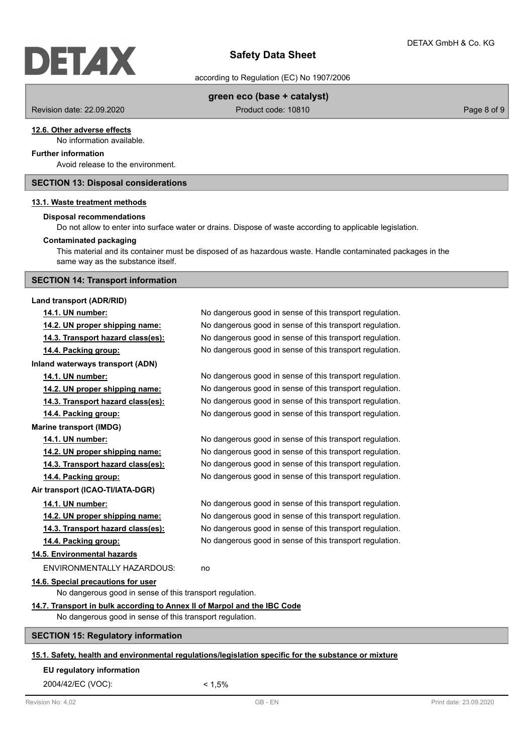# DETAX

# **Safety Data Sheet**

according to Regulation (EC) No 1907/2006

## **green eco (base + catalyst)**

Revision date: 22.09.2020 **Product code: 10810** Product code: 10810

## **12.6. Other adverse effects**

No information available.

# **Further information**

Avoid release to the environment.

## **SECTION 13: Disposal considerations**

## **13.1. Waste treatment methods**

#### **Disposal recommendations**

Do not allow to enter into surface water or drains. Dispose of waste according to applicable legislation.

#### **Contaminated packaging**

This material and its container must be disposed of as hazardous waste. Handle contaminated packages in the same way as the substance itself.

# **SECTION 14: Transport information**

## **Land transport (ADR/RID)**

| 14.1. UN number:                                                         | No dangerous good in sense of this transport regulation.                                |
|--------------------------------------------------------------------------|-----------------------------------------------------------------------------------------|
| 14.2. UN proper shipping name:                                           | No dangerous good in sense of this transport regulation.                                |
| 14.3. Transport hazard class(es):                                        | No dangerous good in sense of this transport regulation.                                |
| 14.4. Packing group:                                                     | No dangerous good in sense of this transport regulation.                                |
| Inland waterways transport (ADN)                                         |                                                                                         |
| 14.1. UN number:                                                         | No dangerous good in sense of this transport regulation.                                |
| 14.2. UN proper shipping name:                                           | No dangerous good in sense of this transport regulation.                                |
| 14.3. Transport hazard class(es):                                        | No dangerous good in sense of this transport regulation.                                |
| 14.4. Packing group:                                                     | No dangerous good in sense of this transport regulation.                                |
| <b>Marine transport (IMDG)</b>                                           |                                                                                         |
| 14.1. UN number:                                                         | No dangerous good in sense of this transport regulation.                                |
| 14.2. UN proper shipping name:                                           | No dangerous good in sense of this transport regulation.                                |
| 14.3. Transport hazard class(es):                                        | No dangerous good in sense of this transport regulation.                                |
| 14.4. Packing group:                                                     | No dangerous good in sense of this transport regulation.                                |
| Air transport (ICAO-TI/IATA-DGR)                                         |                                                                                         |
| 14.1. UN number:                                                         | No dangerous good in sense of this transport regulation.                                |
| 14.2. UN proper shipping name:                                           | No dangerous good in sense of this transport regulation.                                |
| 14.3. Transport hazard class(es):                                        | No dangerous good in sense of this transport regulation.                                |
| 14.4. Packing group:                                                     | No dangerous good in sense of this transport regulation.                                |
| 14.5. Environmental hazards                                              |                                                                                         |
| <b>ENVIRONMENTALLY HAZARDOUS:</b>                                        | no                                                                                      |
| 14.6. Special precautions for user                                       |                                                                                         |
| No dangerous good in sense of this transport regulation.                 |                                                                                         |
| 14.7. Transport in bulk according to Annex II of Marpol and the IBC Code |                                                                                         |
| No dangerous good in sense of this transport regulation.                 |                                                                                         |
| <b>SECTION 15: Regulatory information</b>                                |                                                                                         |
|                                                                          | $\mathbf{r}$ , $\mathbf{r}$ , $\mathbf{r}$ , $\mathbf{r}$ , $\mathbf{r}$ , $\mathbf{r}$ |

## **15.1. Safety, health and environmental regulations/legislation specific for the substance or mixture**

#### **EU regulatory information**

2004/42/EC (VOC): < 1,5%